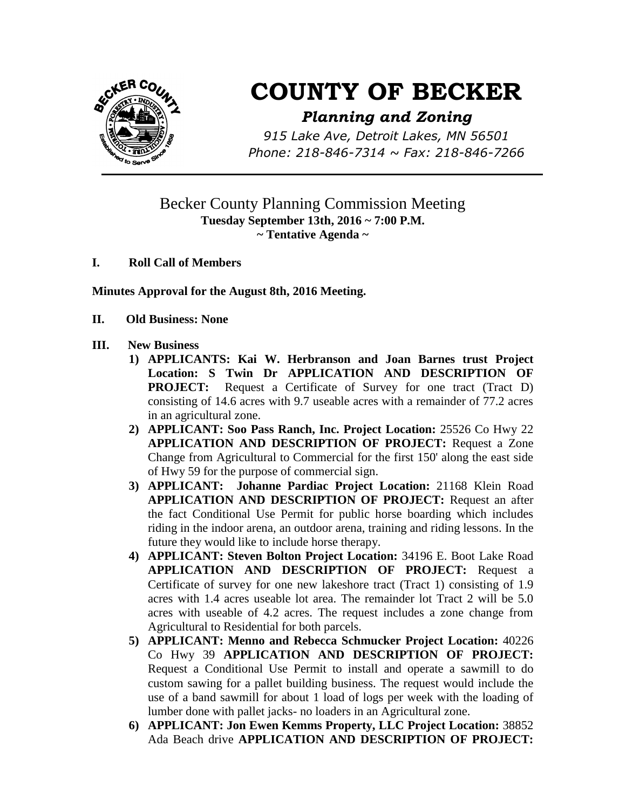

# **COUNTY OF BECKER**

## *Planning and Zoning*

*915 Lake Ave, Detroit Lakes, MN 56501 Phone: 218-846-7314 ~ Fax: 218-846-7266*

## Becker County Planning Commission Meeting **Tuesday September 13th, 2016 ~ 7:00 P.M. ~ Tentative Agenda ~**

**I. Roll Call of Members**

**Minutes Approval for the August 8th, 2016 Meeting.**

**II. Old Business: None**

#### **III. New Business**

- **1) APPLICANTS: Kai W. Herbranson and Joan Barnes trust Project Location: S Twin Dr APPLICATION AND DESCRIPTION OF PROJECT:** Request a Certificate of Survey for one tract (Tract D) consisting of 14.6 acres with 9.7 useable acres with a remainder of 77.2 acres in an agricultural zone.
- **2) APPLICANT: Soo Pass Ranch, Inc. Project Location:** 25526 Co Hwy 22 **APPLICATION AND DESCRIPTION OF PROJECT:** Request a Zone Change from Agricultural to Commercial for the first 150' along the east side of Hwy 59 for the purpose of commercial sign.
- **3) APPLICANT: Johanne Pardiac Project Location:** 21168 Klein Road **APPLICATION AND DESCRIPTION OF PROJECT:** Request an after the fact Conditional Use Permit for public horse boarding which includes riding in the indoor arena, an outdoor arena, training and riding lessons. In the future they would like to include horse therapy.
- **4) APPLICANT: Steven Bolton Project Location:** 34196 E. Boot Lake Road **APPLICATION AND DESCRIPTION OF PROJECT:** Request a Certificate of survey for one new lakeshore tract (Tract 1) consisting of 1.9 acres with 1.4 acres useable lot area. The remainder lot Tract 2 will be 5.0 acres with useable of 4.2 acres. The request includes a zone change from Agricultural to Residential for both parcels.
- **5) APPLICANT: Menno and Rebecca Schmucker Project Location:** 40226 Co Hwy 39 **APPLICATION AND DESCRIPTION OF PROJECT:** Request a Conditional Use Permit to install and operate a sawmill to do custom sawing for a pallet building business. The request would include the use of a band sawmill for about 1 load of logs per week with the loading of lumber done with pallet jacks- no loaders in an Agricultural zone.
- **6) APPLICANT: Jon Ewen Kemms Property, LLC Project Location:** 38852 Ada Beach drive **APPLICATION AND DESCRIPTION OF PROJECT:**